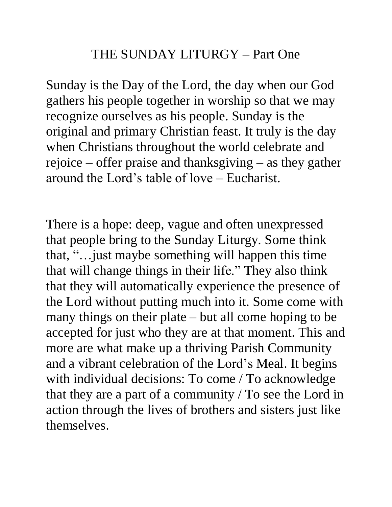Sunday is the Day of the Lord, the day when our God gathers his people together in worship so that we may recognize ourselves as his people. Sunday is the original and primary Christian feast. It truly is the day when Christians throughout the world celebrate and rejoice – offer praise and thanksgiving – as they gather around the Lord's table of love – Eucharist.

There is a hope: deep, vague and often unexpressed that people bring to the Sunday Liturgy. Some think that, "…just maybe something will happen this time that will change things in their life." They also think that they will automatically experience the presence of the Lord without putting much into it. Some come with many things on their plate – but all come hoping to be accepted for just who they are at that moment. This and more are what make up a thriving Parish Community and a vibrant celebration of the Lord's Meal. It begins with individual decisions: To come / To acknowledge that they are a part of a community / To see the Lord in action through the lives of brothers and sisters just like themselves.